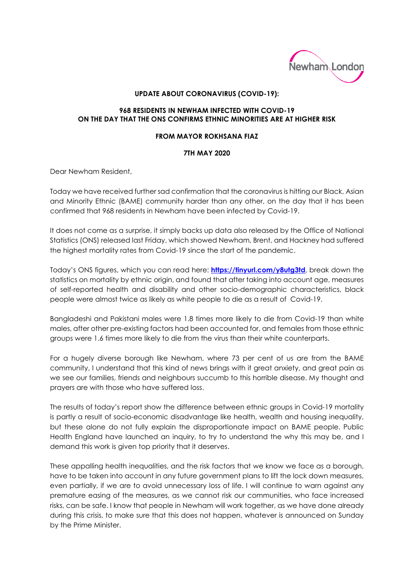

## **UPDATE ABOUT CORONAVIRUS (COVID-19):**

## **968 RESIDENTS IN NEWHAM INFECTED WITH COVID-19 ON THE DAY THAT THE ONS CONFIRMS ETHNIC MINORITIES ARE AT HIGHER RISK**

## **FROM MAYOR ROKHSANA FIAZ**

## **7TH MAY 2020**

Dear Newham Resident,

Today we have received further sad confirmation that the coronavirus is hitting our Black, Asian and Minority Ethnic (BAME) community harder than any other, on the day that it has been confirmed that 968 residents in Newham have been infected by Covid-19.

It does not come as a surprise, it simply backs up data also released by the Office of National Statistics (ONS) released last Friday, which showed Newham, Brent, and Hackney had suffered the highest mortality rates from Covid-19 since the start of the pandemic.

Today's ONS figures, which you can read here: **<https://tinyurl.com/y8utg3td>**, break down the statistics on mortality by ethnic origin, and found that after taking into account age, measures of self-reported health and disability and other socio-demographic characteristics, black people were almost twice as likely as white people to die as a result of Covid-19.

Bangladeshi and Pakistani males were 1.8 times more likely to die from Covid-19 than white males, after other pre-existing factors had been accounted for, and females from those ethnic groups were 1.6 times more likely to die from the virus than their white counterparts.

For a hugely diverse borough like Newham, where 73 per cent of us are from the BAME community, I understand that this kind of news brings with it great anxiety, and great pain as we see our families, friends and neighbours succumb to this horrible disease. My thought and prayers are with those who have suffered loss.

The results of today's report show the difference between ethnic groups in Covid-19 mortality is partly a result of socio-economic disadvantage like health, wealth and housing inequality, but these alone do not fully explain the disproportionate impact on BAME people. Public Health England have launched an inquiry, to try to understand the why this may be, and I demand this work is given top priority that it deserves.

These appalling health inequalities, and the risk factors that we know we face as a borough, have to be taken into account in any future government plans to lift the lock down measures, even partially, if we are to avoid unnecessary loss of life. I will continue to warn against any premature easing of the measures, as we cannot risk our communities, who face increased risks, can be safe. I know that people in Newham will work together, as we have done already during this crisis, to make sure that this does not happen, whatever is announced on Sunday by the Prime Minister.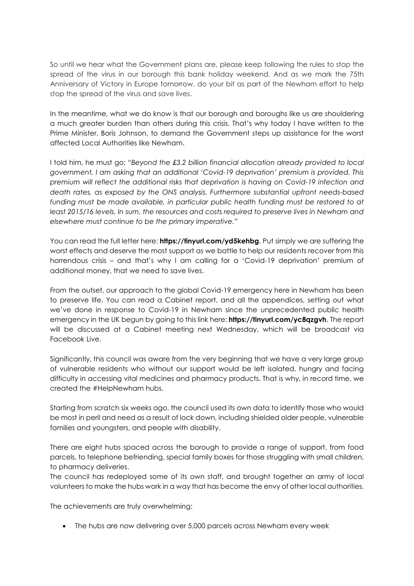So until we hear what the Government plans are, please keep following the rules to stop the spread of the virus in our borough this bank holiday weekend. And as we mark the 75th Anniversary of Victory in Europe tomorrow, do your bit as part of the Newham effort to help stop the spread of the virus and save lives.

In the meantime, what we do know is that our borough and boroughs like us are shouldering a much greater burden than others during this crisis. That's why today I have written to the Prime Minister, Boris Johnson, to demand the Government steps up assistance for the worst affected Local Authorities like Newham.

I told him, he must go; "*Beyond the £3.2 billion financial allocation already provided to local government, I am asking that an additional 'Covid-19 deprivation' premium is provided. This premium will reflect the additional risks that deprivation is having on Covid-19 infection and death rates, as exposed by the ONS analysis. Furthermore substantial upfront needs-based*  funding must be made available, in particular public health funding must be restored to at *least 2015/16 levels. In sum, the resources and costs required to preserve lives in Newham and elsewhere must continue to be the primary imperative."* 

You can read the full letter here: **https://tinyurl.com/yd5kehbg**. Put simply we are suffering the worst effects and deserve the most support as we battle to help our residents recover from this horrendous crisis – and that's why I am calling for a 'Covid-19 deprivation' premium of additional money, that we need to save lives.

From the outset, our approach to the global Covid-19 emergency here in Newham has been to preserve life. You can read a Cabinet report, and all the appendices, setting out what we've done in response to Covid-19 in Newham since the unprecedented public health emergency in the UK begun by going to this link here: **https://tinyurl.com/yc8qzgvh**. The report will be discussed at a Cabinet meeting next Wednesday, which will be broadcast via Facebook Live.

Significantly, this council was aware from the very beginning that we have a very large group of vulnerable residents who without our support would be left isolated, hungry and facing difficulty in accessing vital medicines and pharmacy products. That is why, in record time, we created the #HelpNewham hubs.

Starting from scratch six weeks ago, the council used its own data to identify those who would be most in peril and need as a result of lock down, including shielded older people, vulnerable families and youngsters, and people with disability.

There are eight hubs spaced across the borough to provide a range of support, from food parcels, to telephone befriending, special family boxes for those struggling with small children, to pharmacy deliveries.

The council has redeployed some of its own staff, and brought together an army of local volunteers to make the hubs work in a way that has become the envy of other local authorities.

The achievements are truly overwhelming:

• The hubs are now delivering over 5,000 parcels across Newham every week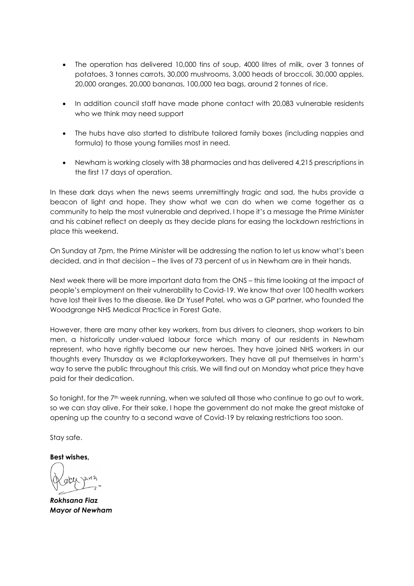- The operation has delivered 10,000 tins of soup, 4000 litres of milk, over 3 tonnes of potatoes, 3 tonnes carrots, 30,000 mushrooms, 3,000 heads of broccoli, 30,000 apples, 20,000 oranges, 20,000 bananas, 100,000 tea bags, around 2 tonnes of rice.
- In addition council staff have made phone contact with 20,083 vulnerable residents who we think may need support
- The hubs have also started to distribute tailored family boxes (including nappies and formula) to those young families most in need.
- Newham is working closely with 38 pharmacies and has delivered 4,215 prescriptions in the first 17 days of operation.

In these dark days when the news seems unremittingly tragic and sad, the hubs provide a beacon of light and hope. They show what we can do when we come together as a community to help the most vulnerable and deprived. I hope it's a message the Prime Minister and his cabinet reflect on deeply as they decide plans for easing the lockdown restrictions in place this weekend.

On Sunday at 7pm, the Prime Minister will be addressing the nation to let us know what's been decided, and in that decision – the lives of 73 percent of us in Newham are in their hands.

Next week there will be more important data from the ONS – this time looking at the impact of people's employment on their vulnerability to Covid-19. We know that over 100 health workers have lost their lives to the disease, like Dr Yusef Patel, who was a GP partner, who founded the Woodgrange NHS Medical Practice in Forest Gate.

However, there are many other key workers, from bus drivers to cleaners, shop workers to bin men, a historically under-valued labour force which many of our residents in Newham represent, who have rightly become our new heroes. They have joined NHS workers in our thoughts every Thursday as we #clapforkeyworkers. They have all put themselves in harm's way to serve the public throughout this crisis. We will find out on Monday what price they have paid for their dedication.

So tonight, for the 7<sup>th</sup> week running, when we saluted all those who continue to go out to work, so we can stay alive. For their sake, I hope the government do not make the great mistake of opening up the country to a second wave of Covid-19 by relaxing restrictions too soon.

Stay safe.

**Best wishes,** 

*Rokhsana Fiaz Mayor of Newham*